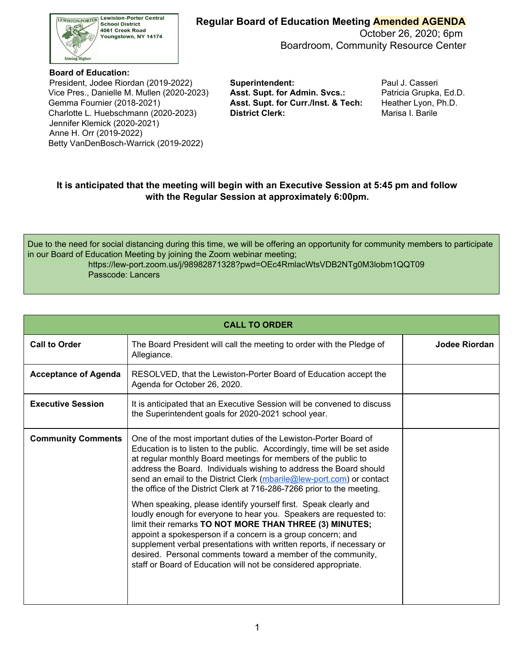

 October 26, 2020; 6pm Boardroom, Community Resource Center

 Vice Pres., Danielle M. Mullen (2020-2023) Gemma Fournier (2018-2021) Charlotte L. Huebschmann (2020-2023) **Board of Education:** President, Jodee Riordan (2019-2022) Jennifer Klemick (2020-2021) Anne H. Orr (2019-2022) Betty VanDenBosch-Warrick (2019-2022)

**Superintendent: Asst. Supt. for Admin. Svcs.: Asst. Supt. for Curr./Inst. & Tech: District Clerk:**

Paul J. Casseri Patricia Grupka, Ed.D. Heather Lyon, Ph.D. Marisa I. Barile

 **It is anticipated that the meeting will begin with an Executive Session at 5:45 pm and follow with the Regular Session at approximately 6:00pm.**

 Due to the need for social distancing during this time, we will be offering an opportunity for community members to participate in our Board of Education Meeting by joining the Zoom webinar meeting;

<https://lew-port.zoom.us/j/98982871328?pwd=OEc4RmlacWtsVDB2NTg0M3lobm1QQT09> Passcode: Lancers

|                             | <b>CALL TO ORDER</b>                                                                                                                                                                                                                                                                                                                                                                                                                                                         |               |  |  |  |  |  |  |  |
|-----------------------------|------------------------------------------------------------------------------------------------------------------------------------------------------------------------------------------------------------------------------------------------------------------------------------------------------------------------------------------------------------------------------------------------------------------------------------------------------------------------------|---------------|--|--|--|--|--|--|--|
| <b>Call to Order</b>        | The Board President will call the meeting to order with the Pledge of<br>Allegiance.                                                                                                                                                                                                                                                                                                                                                                                         | Jodee Riordan |  |  |  |  |  |  |  |
| <b>Acceptance of Agenda</b> | RESOLVED, that the Lewiston-Porter Board of Education accept the<br>Agenda for October 26, 2020.                                                                                                                                                                                                                                                                                                                                                                             |               |  |  |  |  |  |  |  |
| <b>Executive Session</b>    | It is anticipated that an Executive Session will be convened to discuss<br>the Superintendent goals for 2020-2021 school year.                                                                                                                                                                                                                                                                                                                                               |               |  |  |  |  |  |  |  |
| <b>Community Comments</b>   | One of the most important duties of the Lewiston-Porter Board of<br>Education is to listen to the public. Accordingly, time will be set aside<br>at regular monthly Board meetings for members of the public to<br>address the Board. Individuals wishing to address the Board should<br>send an email to the District Clerk (mbarile@lew-port.com) or contact<br>the office of the District Clerk at 716-286-7266 prior to the meeting.                                     |               |  |  |  |  |  |  |  |
|                             | When speaking, please identify yourself first. Speak clearly and<br>loudly enough for everyone to hear you. Speakers are requested to:<br>limit their remarks TO NOT MORE THAN THREE (3) MINUTES;<br>appoint a spokesperson if a concern is a group concern; and<br>supplement verbal presentations with written reports, if necessary or<br>desired. Personal comments toward a member of the community,<br>staff or Board of Education will not be considered appropriate. |               |  |  |  |  |  |  |  |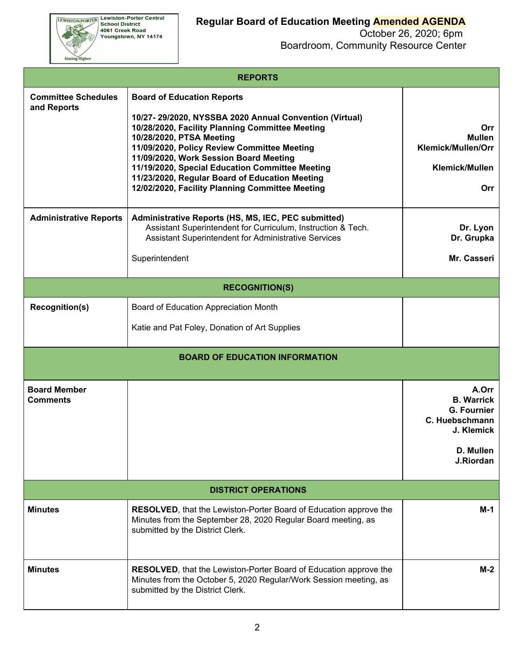**EEWISTON-PORTER Lewiston-Porter Central**<br>School District<br>4061 Creek Road<br>Youngstown, NY 14174

Aiming Higher

## **Regular Board of Education Meeting Amended AGENDA**

 October 26, 2020; 6pm Boardroom, Community Resource Center

| <b>REPORTS</b>                            |                                                                                                                                                                                                                                                                                                                                                                                                                             |                                                                                                            |  |  |  |  |  |  |
|-------------------------------------------|-----------------------------------------------------------------------------------------------------------------------------------------------------------------------------------------------------------------------------------------------------------------------------------------------------------------------------------------------------------------------------------------------------------------------------|------------------------------------------------------------------------------------------------------------|--|--|--|--|--|--|
| <b>Committee Schedules</b><br>and Reports | <b>Board of Education Reports</b><br>10/27-29/2020, NYSSBA 2020 Annual Convention (Virtual)<br>10/28/2020, Facility Planning Committee Meeting<br>10/28/2020, PTSA Meeting<br>11/09/2020, Policy Review Committee Meeting<br>11/09/2020, Work Session Board Meeting<br>11/19/2020, Special Education Committee Meeting<br>11/23/2020, Regular Board of Education Meeting<br>12/02/2020, Facility Planning Committee Meeting | Orr<br><b>Mullen</b><br>Klemick/Mullen/Orr<br><b>Klemick/Mullen</b><br>Orr                                 |  |  |  |  |  |  |
| <b>Administrative Reports</b>             | Administrative Reports (HS, MS, IEC, PEC submitted)<br>Assistant Superintendent for Curriculum, Instruction & Tech.<br>Assistant Superintendent for Administrative Services<br>Superintendent                                                                                                                                                                                                                               | Dr. Lyon<br>Dr. Grupka<br>Mr. Casseri                                                                      |  |  |  |  |  |  |
|                                           |                                                                                                                                                                                                                                                                                                                                                                                                                             |                                                                                                            |  |  |  |  |  |  |
|                                           | <b>RECOGNITION(S)</b>                                                                                                                                                                                                                                                                                                                                                                                                       |                                                                                                            |  |  |  |  |  |  |
| <b>Recognition(s)</b>                     | Board of Education Appreciation Month                                                                                                                                                                                                                                                                                                                                                                                       |                                                                                                            |  |  |  |  |  |  |
|                                           | Katie and Pat Foley, Donation of Art Supplies                                                                                                                                                                                                                                                                                                                                                                               |                                                                                                            |  |  |  |  |  |  |
|                                           | <b>BOARD OF EDUCATION INFORMATION</b>                                                                                                                                                                                                                                                                                                                                                                                       |                                                                                                            |  |  |  |  |  |  |
| <b>Board Member</b><br><b>Comments</b>    |                                                                                                                                                                                                                                                                                                                                                                                                                             | A.Orr<br><b>B.</b> Warrick<br><b>G. Fournier</b><br>C. Huebschmann<br>J. Klemick<br>D. Mullen<br>J.Riordan |  |  |  |  |  |  |
|                                           | <b>DISTRICT OPERATIONS</b>                                                                                                                                                                                                                                                                                                                                                                                                  |                                                                                                            |  |  |  |  |  |  |
| <b>Minutes</b>                            | <b>RESOLVED, that the Lewiston-Porter Board of Education approve the</b><br>Minutes from the September 28, 2020 Regular Board meeting, as<br>submitted by the District Clerk.                                                                                                                                                                                                                                               | M-1                                                                                                        |  |  |  |  |  |  |
| <b>Minutes</b>                            | <b>RESOLVED, that the Lewiston-Porter Board of Education approve the</b><br>Minutes from the October 5, 2020 Regular/Work Session meeting, as<br>submitted by the District Clerk.                                                                                                                                                                                                                                           | M-2                                                                                                        |  |  |  |  |  |  |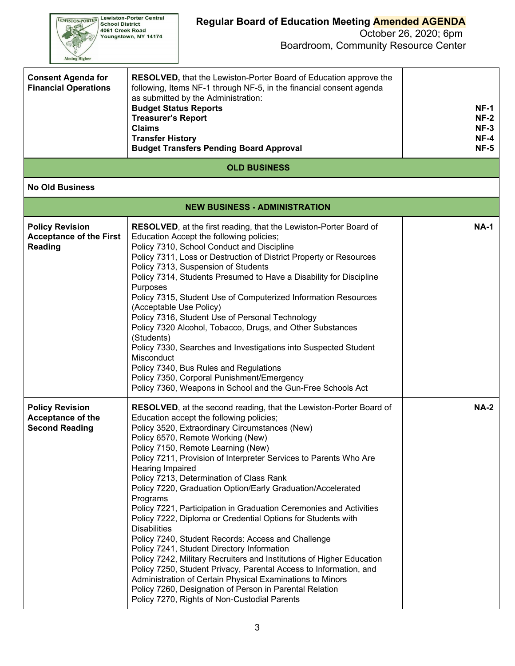Boardroom, Community Resource Center

| <b>Consent Agenda for</b><br><b>Financial Operations</b> | <b>RESOLVED, that the Lewiston-Porter Board of Education approve the</b><br>following, Items NF-1 through NF-5, in the financial consent agenda<br>as submitted by the Administration:<br><b>Budget Status Reports</b><br><b>Treasurer's Report</b><br><b>Claims</b><br><b>Transfer History</b><br><b>Budget Transfers Pending Board Approval</b> | <b>NF-1</b><br>$NF-2$<br>$NF-3$<br>$NF-4$<br>$NF-5$ |
|----------------------------------------------------------|---------------------------------------------------------------------------------------------------------------------------------------------------------------------------------------------------------------------------------------------------------------------------------------------------------------------------------------------------|-----------------------------------------------------|
|                                                          |                                                                                                                                                                                                                                                                                                                                                   |                                                     |

## **OLD BUSINESS**

## **No Old Business**

|                                                                             | <b>NEW BUSINESS - ADMINISTRATION</b>                                                                                                                                                                                                                                                                                                                                                                                                                                                                                                                                                                                                                                                                                                                                                                                                                                                                                                                                                                                                                      |             |
|-----------------------------------------------------------------------------|-----------------------------------------------------------------------------------------------------------------------------------------------------------------------------------------------------------------------------------------------------------------------------------------------------------------------------------------------------------------------------------------------------------------------------------------------------------------------------------------------------------------------------------------------------------------------------------------------------------------------------------------------------------------------------------------------------------------------------------------------------------------------------------------------------------------------------------------------------------------------------------------------------------------------------------------------------------------------------------------------------------------------------------------------------------|-------------|
| <b>Policy Revision</b><br><b>Acceptance of the First</b><br>Reading         | <b>RESOLVED</b> , at the first reading, that the Lewiston-Porter Board of<br>Education Accept the following policies;<br>Policy 7310, School Conduct and Discipline<br>Policy 7311, Loss or Destruction of District Property or Resources<br>Policy 7313, Suspension of Students<br>Policy 7314, Students Presumed to Have a Disability for Discipline<br>Purposes<br>Policy 7315, Student Use of Computerized Information Resources<br>(Acceptable Use Policy)<br>Policy 7316, Student Use of Personal Technology<br>Policy 7320 Alcohol, Tobacco, Drugs, and Other Substances<br>(Students)<br>Policy 7330, Searches and Investigations into Suspected Student<br>Misconduct<br>Policy 7340, Bus Rules and Regulations<br>Policy 7350, Corporal Punishment/Emergency<br>Policy 7360, Weapons in School and the Gun-Free Schools Act                                                                                                                                                                                                                     | <b>NA-1</b> |
| <b>Policy Revision</b><br><b>Acceptance of the</b><br><b>Second Reading</b> | <b>RESOLVED, at the second reading, that the Lewiston-Porter Board of</b><br>Education accept the following policies;<br>Policy 3520, Extraordinary Circumstances (New)<br>Policy 6570, Remote Working (New)<br>Policy 7150, Remote Learning (New)<br>Policy 7211, Provision of Interpreter Services to Parents Who Are<br>Hearing Impaired<br>Policy 7213, Determination of Class Rank<br>Policy 7220, Graduation Option/Early Graduation/Accelerated<br>Programs<br>Policy 7221, Participation in Graduation Ceremonies and Activities<br>Policy 7222, Diploma or Credential Options for Students with<br><b>Disabilities</b><br>Policy 7240, Student Records: Access and Challenge<br>Policy 7241, Student Directory Information<br>Policy 7242, Military Recruiters and Institutions of Higher Education<br>Policy 7250, Student Privacy, Parental Access to Information, and<br>Administration of Certain Physical Examinations to Minors<br>Policy 7260, Designation of Person in Parental Relation<br>Policy 7270, Rights of Non-Custodial Parents | $NA-2$      |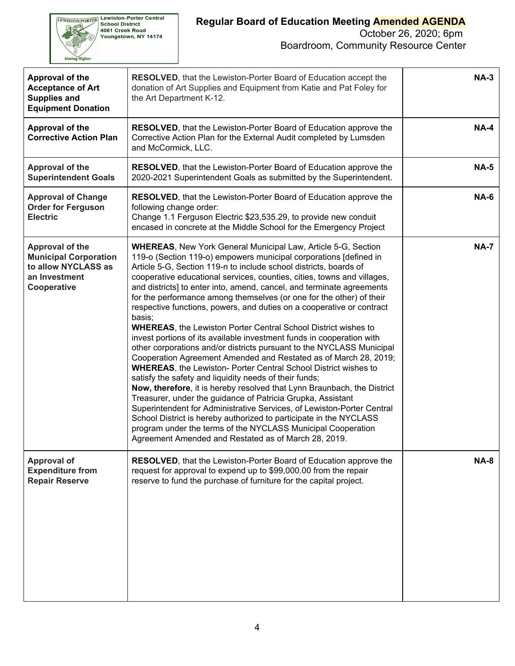Aiming Higher

October 26, 2020; 6pm

Boardroom, Community Resource Center

| Approval of the<br><b>Acceptance of Art</b><br><b>Supplies and</b><br><b>Equipment Donation</b>        | <b>RESOLVED, that the Lewiston-Porter Board of Education accept the</b><br>donation of Art Supplies and Equipment from Katie and Pat Foley for<br>the Art Department K-12.                                                                                                                                                                                                                                                                                                                                                                                                                                                                                                                                                                                                                                                                                                                                                                                                                                                                                                                                                                                                                                                                                                                                                                                                         | $NA-3$      |
|--------------------------------------------------------------------------------------------------------|------------------------------------------------------------------------------------------------------------------------------------------------------------------------------------------------------------------------------------------------------------------------------------------------------------------------------------------------------------------------------------------------------------------------------------------------------------------------------------------------------------------------------------------------------------------------------------------------------------------------------------------------------------------------------------------------------------------------------------------------------------------------------------------------------------------------------------------------------------------------------------------------------------------------------------------------------------------------------------------------------------------------------------------------------------------------------------------------------------------------------------------------------------------------------------------------------------------------------------------------------------------------------------------------------------------------------------------------------------------------------------|-------------|
| Approval of the<br><b>Corrective Action Plan</b>                                                       | <b>RESOLVED, that the Lewiston-Porter Board of Education approve the</b><br>Corrective Action Plan for the External Audit completed by Lumsden<br>and McCormick, LLC.                                                                                                                                                                                                                                                                                                                                                                                                                                                                                                                                                                                                                                                                                                                                                                                                                                                                                                                                                                                                                                                                                                                                                                                                              | <b>NA-4</b> |
| Approval of the<br><b>Superintendent Goals</b>                                                         | RESOLVED, that the Lewiston-Porter Board of Education approve the<br>2020-2021 Superintendent Goals as submitted by the Superintendent.                                                                                                                                                                                                                                                                                                                                                                                                                                                                                                                                                                                                                                                                                                                                                                                                                                                                                                                                                                                                                                                                                                                                                                                                                                            | <b>NA-5</b> |
| <b>Approval of Change</b><br><b>Order for Ferguson</b><br><b>Electric</b>                              | <b>RESOLVED, that the Lewiston-Porter Board of Education approve the</b><br>following change order:<br>Change 1.1 Ferguson Electric \$23,535.29, to provide new conduit<br>encased in concrete at the Middle School for the Emergency Project                                                                                                                                                                                                                                                                                                                                                                                                                                                                                                                                                                                                                                                                                                                                                                                                                                                                                                                                                                                                                                                                                                                                      | <b>NA-6</b> |
| Approval of the<br><b>Municipal Corporation</b><br>to allow NYCLASS as<br>an Investment<br>Cooperative | <b>WHEREAS, New York General Municipal Law, Article 5-G, Section</b><br>119-o (Section 119-o) empowers municipal corporations [defined in<br>Article 5-G, Section 119-n to include school districts, boards of<br>cooperative educational services, counties, cities, towns and villages,<br>and districts] to enter into, amend, cancel, and terminate agreements<br>for the performance among themselves (or one for the other) of their<br>respective functions, powers, and duties on a cooperative or contract<br>basis;<br><b>WHEREAS, the Lewiston Porter Central School District wishes to</b><br>invest portions of its available investment funds in cooperation with<br>other corporations and/or districts pursuant to the NYCLASS Municipal<br>Cooperation Agreement Amended and Restated as of March 28, 2019;<br><b>WHEREAS, the Lewiston- Porter Central School District wishes to</b><br>satisfy the safety and liquidity needs of their funds;<br>Now, therefore, it is hereby resolved that Lynn Braunbach, the District<br>Treasurer, under the guidance of Patricia Grupka, Assistant<br>Superintendent for Administrative Services, of Lewiston-Porter Central<br>School District is hereby authorized to participate in the NYCLASS<br>program under the terms of the NYCLASS Municipal Cooperation<br>Agreement Amended and Restated as of March 28, 2019. | <b>NA-7</b> |
| <b>Approval of</b><br><b>Expenditure from</b><br><b>Repair Reserve</b>                                 | <b>RESOLVED, that the Lewiston-Porter Board of Education approve the</b><br>request for approval to expend up to \$99,000.00 from the repair<br>reserve to fund the purchase of furniture for the capital project.                                                                                                                                                                                                                                                                                                                                                                                                                                                                                                                                                                                                                                                                                                                                                                                                                                                                                                                                                                                                                                                                                                                                                                 | <b>NA-8</b> |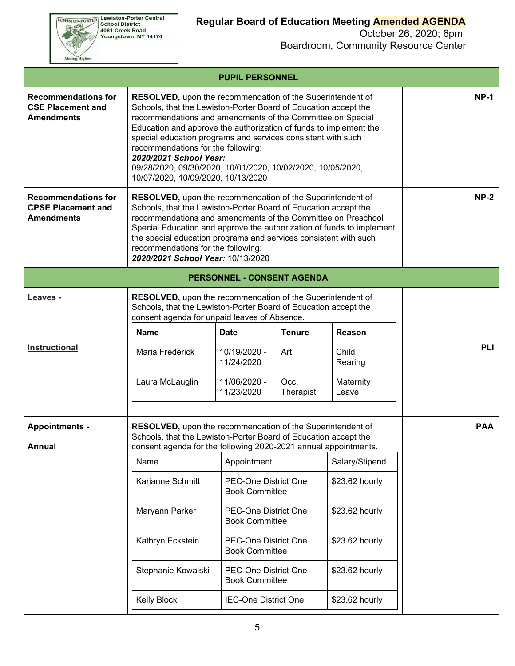**EEWISTON-PORTER Lewiston-Porter Central**<br>School District<br>4061 Creek Road<br>Youngstown, NY 14174

Aiming Higher

## **Regular Board of Education Meeting Amended AGENDA**

 October 26, 2020; 6pm Boardroom, Community Resource Center

| <b>PUPIL PERSONNEL</b>                                                       |                                                                                                                                                                                                                                                                                                                                                                                                                                                                                                       |                                                                                             |                                           |                                                    |            |  |  |  |  |  |  |
|------------------------------------------------------------------------------|-------------------------------------------------------------------------------------------------------------------------------------------------------------------------------------------------------------------------------------------------------------------------------------------------------------------------------------------------------------------------------------------------------------------------------------------------------------------------------------------------------|---------------------------------------------------------------------------------------------|-------------------------------------------|----------------------------------------------------|------------|--|--|--|--|--|--|
| <b>Recommendations for</b><br><b>CSE Placement and</b><br><b>Amendments</b>  | RESOLVED, upon the recommendation of the Superintendent of<br>Schools, that the Lewiston-Porter Board of Education accept the<br>recommendations and amendments of the Committee on Special<br>Education and approve the authorization of funds to implement the<br>special education programs and services consistent with such<br>recommendations for the following:<br>2020/2021 School Year:<br>09/28/2020, 09/30/2020, 10/01/2020, 10/02/2020, 10/05/2020,<br>10/07/2020, 10/09/2020, 10/13/2020 | <b>NP-1</b>                                                                                 |                                           |                                                    |            |  |  |  |  |  |  |
| <b>Recommendations for</b><br><b>CPSE Placement and</b><br><b>Amendments</b> | RESOLVED, upon the recommendation of the Superintendent of<br>Schools, that the Lewiston-Porter Board of Education accept the<br>recommendations and amendments of the Committee on Preschool<br>Special Education and approve the authorization of funds to implement<br>the special education programs and services consistent with such<br>recommendations for the following:<br>2020/2021 School Year: 10/13/2020                                                                                 | $NP-2$                                                                                      |                                           |                                                    |            |  |  |  |  |  |  |
|                                                                              |                                                                                                                                                                                                                                                                                                                                                                                                                                                                                                       | <b>PERSONNEL - CONSENT AGENDA</b>                                                           |                                           |                                                    |            |  |  |  |  |  |  |
| Leaves -<br><b>Instructional</b>                                             | <b>RESOLVED, upon the recommendation of the Superintendent of</b><br>Schools, that the Lewiston-Porter Board of Education accept the<br>consent agenda for unpaid leaves of Absence.<br><b>Name</b><br>Maria Frederick<br>Laura McLauglin                                                                                                                                                                                                                                                             | <b>Date</b><br>10/19/2020 -<br>11/24/2020<br>11/06/2020 -<br>11/23/2020                     | <b>Tenure</b><br>Art<br>Occ.<br>Therapist | Reason<br>Child<br>Rearing<br>Maternity<br>Leave   | PLI        |  |  |  |  |  |  |
| <b>Appointments -</b><br>Annual                                              | RESOLVED, upon the recommendation of the Superintendent of<br>Schools, that the Lewiston-Porter Board of Education accept the<br>consent agenda for the following 2020-2021 annual appointments.<br>Name<br>Karianne Schmitt<br>Maryann Parker                                                                                                                                                                                                                                                        | Appointment<br><b>PEC-One District One</b><br><b>Book Committee</b><br>PEC-One District One |                                           | Salary/Stipend<br>\$23.62 hourly<br>\$23.62 hourly | <b>PAA</b> |  |  |  |  |  |  |
|                                                                              |                                                                                                                                                                                                                                                                                                                                                                                                                                                                                                       |                                                                                             |                                           |                                                    |            |  |  |  |  |  |  |
|                                                                              |                                                                                                                                                                                                                                                                                                                                                                                                                                                                                                       |                                                                                             |                                           |                                                    |            |  |  |  |  |  |  |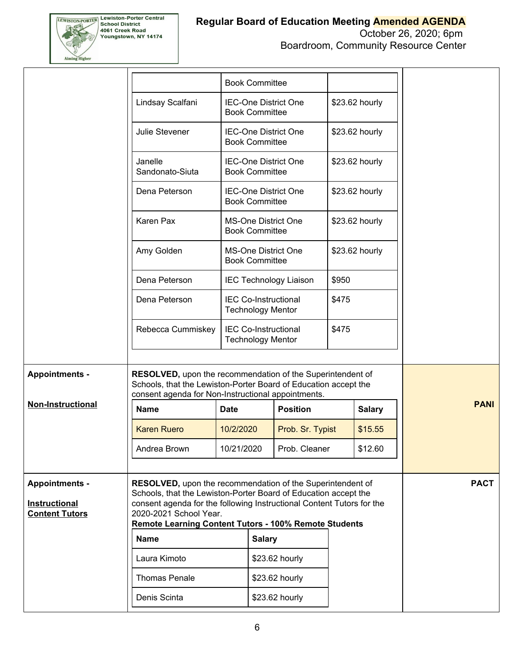

|                                                                        |                                                                                                                                                                                                                                                                                           |                                                         | <b>Book Committee</b>    |                               |                  |                |             |
|------------------------------------------------------------------------|-------------------------------------------------------------------------------------------------------------------------------------------------------------------------------------------------------------------------------------------------------------------------------------------|---------------------------------------------------------|--------------------------|-------------------------------|------------------|----------------|-------------|
|                                                                        | Lindsay Scalfani                                                                                                                                                                                                                                                                          |                                                         | <b>Book Committee</b>    | <b>IEC-One District One</b>   |                  | \$23.62 hourly |             |
|                                                                        | Julie Stevener                                                                                                                                                                                                                                                                            | <b>IEC-One District One</b><br><b>Book Committee</b>    |                          |                               |                  | \$23.62 hourly |             |
|                                                                        | Janelle<br>Sandonato-Siuta                                                                                                                                                                                                                                                                |                                                         | <b>Book Committee</b>    | <b>IEC-One District One</b>   |                  | \$23.62 hourly |             |
|                                                                        | Dena Peterson                                                                                                                                                                                                                                                                             | <b>IEC-One District One</b><br><b>Book Committee</b>    |                          |                               | \$23.62 hourly   |                |             |
|                                                                        | Karen Pax                                                                                                                                                                                                                                                                                 |                                                         | <b>Book Committee</b>    | <b>MS-One District One</b>    |                  | \$23.62 hourly |             |
|                                                                        | Amy Golden                                                                                                                                                                                                                                                                                |                                                         | <b>Book Committee</b>    | <b>MS-One District One</b>    |                  | \$23.62 hourly |             |
|                                                                        | Dena Peterson                                                                                                                                                                                                                                                                             |                                                         |                          | <b>IEC Technology Liaison</b> | \$950            |                |             |
|                                                                        | Dena Peterson                                                                                                                                                                                                                                                                             | <b>IEC Co-Instructional</b><br><b>Technology Mentor</b> |                          | \$475                         |                  |                |             |
|                                                                        | Rebecca Cummiskey                                                                                                                                                                                                                                                                         |                                                         | <b>Technology Mentor</b> | <b>IEC Co-Instructional</b>   | \$475            |                |             |
|                                                                        |                                                                                                                                                                                                                                                                                           |                                                         |                          |                               |                  |                |             |
| <b>Appointments -</b>                                                  | RESOLVED, upon the recommendation of the Superintendent of<br>Schools, that the Lewiston-Porter Board of Education accept the<br>consent agenda for Non-Instructional appointments.                                                                                                       |                                                         |                          |                               |                  |                |             |
| <b>Non-Instructional</b>                                               | Name                                                                                                                                                                                                                                                                                      | <b>Date</b>                                             |                          | <b>Position</b>               |                  | <b>Salary</b>  | <b>PANI</b> |
|                                                                        | <b>Karen Ruero</b>                                                                                                                                                                                                                                                                        | 10/2/2020                                               |                          |                               | Prob. Sr. Typist |                |             |
|                                                                        | Andrea Brown                                                                                                                                                                                                                                                                              | 10/21/2020                                              |                          | Prob. Cleaner                 |                  | \$12.60        |             |
| <b>Appointments -</b><br><b>Instructional</b><br><b>Content Tutors</b> | RESOLVED, upon the recommendation of the Superintendent of<br>Schools, that the Lewiston-Porter Board of Education accept the<br>consent agenda for the following Instructional Content Tutors for the<br>2020-2021 School Year.<br>Remote Learning Content Tutors - 100% Remote Students |                                                         |                          |                               |                  |                | <b>PACT</b> |
| <b>Name</b><br>Laura Kimoto                                            |                                                                                                                                                                                                                                                                                           | <b>Salary</b><br>\$23.62 hourly                         |                          |                               |                  |                |             |
|                                                                        |                                                                                                                                                                                                                                                                                           |                                                         |                          |                               |                  |                |             |
|                                                                        | <b>Thomas Penale</b>                                                                                                                                                                                                                                                                      |                                                         |                          | \$23.62 hourly                |                  |                |             |
|                                                                        | Denis Scinta                                                                                                                                                                                                                                                                              |                                                         |                          | \$23.62 hourly                |                  |                |             |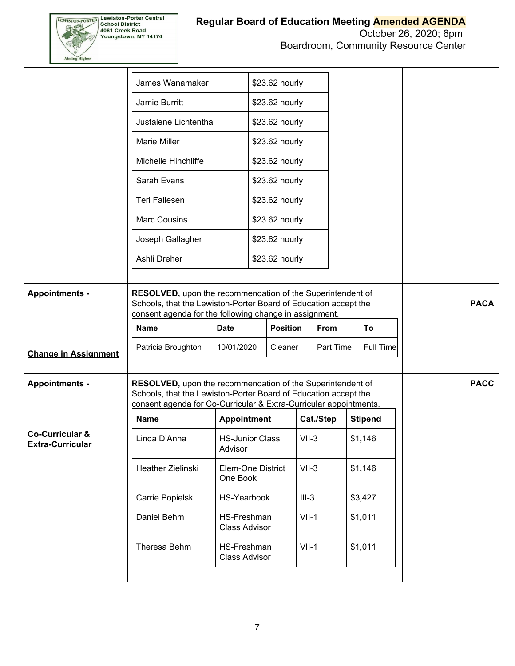

Boardroom, Community Resource Center

|                                                       | James Wanamaker                                                                                                                                                                                    |                                   |                                                                                                                               | \$23.62 hourly                      |           |             |    |                |             |           |  |  |  |         |  |  |  |         |  |
|-------------------------------------------------------|----------------------------------------------------------------------------------------------------------------------------------------------------------------------------------------------------|-----------------------------------|-------------------------------------------------------------------------------------------------------------------------------|-------------------------------------|-----------|-------------|----|----------------|-------------|-----------|--|--|--|---------|--|--|--|---------|--|
|                                                       |                                                                                                                                                                                                    |                                   |                                                                                                                               |                                     |           |             |    |                |             |           |  |  |  |         |  |  |  |         |  |
|                                                       | Jamie Burritt                                                                                                                                                                                      |                                   |                                                                                                                               | \$23.62 hourly                      |           |             |    |                |             |           |  |  |  |         |  |  |  |         |  |
|                                                       | Justalene Lichtenthal                                                                                                                                                                              |                                   |                                                                                                                               | \$23.62 hourly                      |           |             |    |                |             |           |  |  |  |         |  |  |  |         |  |
|                                                       | <b>Marie Miller</b>                                                                                                                                                                                |                                   |                                                                                                                               | \$23.62 hourly                      |           |             |    |                |             |           |  |  |  |         |  |  |  |         |  |
|                                                       | Michelle Hinchliffe                                                                                                                                                                                |                                   |                                                                                                                               | \$23.62 hourly                      |           |             |    |                |             |           |  |  |  |         |  |  |  |         |  |
|                                                       | Sarah Evans                                                                                                                                                                                        |                                   |                                                                                                                               | \$23.62 hourly                      |           |             |    |                |             |           |  |  |  |         |  |  |  |         |  |
|                                                       | <b>Teri Fallesen</b>                                                                                                                                                                               |                                   | \$23.62 hourly                                                                                                                |                                     |           |             |    |                |             |           |  |  |  |         |  |  |  |         |  |
|                                                       | <b>Marc Cousins</b>                                                                                                                                                                                |                                   | \$23.62 hourly                                                                                                                |                                     |           |             |    |                |             |           |  |  |  |         |  |  |  |         |  |
|                                                       | Joseph Gallagher                                                                                                                                                                                   |                                   |                                                                                                                               | \$23.62 hourly                      |           |             |    |                |             |           |  |  |  |         |  |  |  |         |  |
|                                                       | Ashli Dreher                                                                                                                                                                                       |                                   |                                                                                                                               | \$23.62 hourly                      |           |             |    |                |             |           |  |  |  |         |  |  |  |         |  |
|                                                       |                                                                                                                                                                                                    |                                   |                                                                                                                               |                                     |           |             |    |                |             |           |  |  |  |         |  |  |  |         |  |
| <b>Appointments -</b>                                 | consent agenda for the following change in assignment.                                                                                                                                             |                                   | RESOLVED, upon the recommendation of the Superintendent of<br>Schools, that the Lewiston-Porter Board of Education accept the |                                     |           |             |    |                | <b>PACA</b> |           |  |  |  |         |  |  |  |         |  |
|                                                       | <b>Name</b>                                                                                                                                                                                        | <b>Date</b>                       |                                                                                                                               | <b>Position</b>                     |           | <b>From</b> | To |                |             |           |  |  |  |         |  |  |  |         |  |
| <b>Change in Assignment</b>                           | Patricia Broughton                                                                                                                                                                                 | 10/01/2020                        |                                                                                                                               | Cleaner                             |           |             |    | Part Time      |             | Full Time |  |  |  |         |  |  |  |         |  |
| <b>Appointments -</b>                                 | RESOLVED, upon the recommendation of the Superintendent of<br>Schools, that the Lewiston-Porter Board of Education accept the<br>consent agenda for Co-Curricular & Extra-Curricular appointments. |                                   |                                                                                                                               |                                     |           |             |    |                | <b>PACC</b> |           |  |  |  |         |  |  |  |         |  |
|                                                       | <b>Name</b>                                                                                                                                                                                        | <b>Appointment</b>                |                                                                                                                               |                                     | Cat./Step |             |    | <b>Stipend</b> |             |           |  |  |  |         |  |  |  |         |  |
| <b>Co-Curricular &amp;</b><br><b>Extra-Curricular</b> | Linda D'Anna                                                                                                                                                                                       | <b>HS-Junior Class</b><br>Advisor |                                                                                                                               | $VII-3$                             |           |             |    | \$1,146        |             |           |  |  |  |         |  |  |  |         |  |
|                                                       | Heather Zielinski                                                                                                                                                                                  | One Book                          |                                                                                                                               | Elem-One District                   |           |             |    | $VII-3$        |             | \$1,146   |  |  |  |         |  |  |  |         |  |
|                                                       | Carrie Popielski                                                                                                                                                                                   | <b>HS-Yearbook</b>                |                                                                                                                               | $III-3$                             |           |             |    |                |             | \$3,427   |  |  |  |         |  |  |  |         |  |
|                                                       | Daniel Behm                                                                                                                                                                                        |                                   |                                                                                                                               | HS-Freshman<br><b>Class Advisor</b> |           | $VII-1$     |    |                |             |           |  |  |  | \$1,011 |  |  |  |         |  |
|                                                       | Theresa Behm                                                                                                                                                                                       | HS-Freshman                       |                                                                                                                               | Class Advisor                       |           |             |    | $VII-1$        |             |           |  |  |  |         |  |  |  | \$1,011 |  |
|                                                       |                                                                                                                                                                                                    |                                   |                                                                                                                               |                                     |           |             |    |                |             |           |  |  |  |         |  |  |  |         |  |